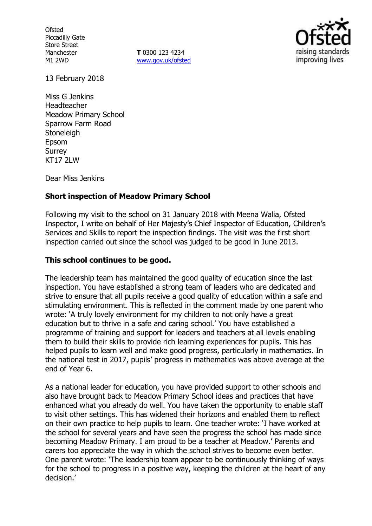**Ofsted** Piccadilly Gate Store Street Manchester M1 2WD

**T** 0300 123 4234 www.gov.uk/ofsted



13 February 2018

Miss G Jenkins Headteacher Meadow Primary School Sparrow Farm Road **Stoneleigh** Epsom Surrey **KT17 2LW** 

Dear Miss Jenkins

## **Short inspection of Meadow Primary School**

Following my visit to the school on 31 January 2018 with Meena Walia, Ofsted Inspector, I write on behalf of Her Majesty's Chief Inspector of Education, Children's Services and Skills to report the inspection findings. The visit was the first short inspection carried out since the school was judged to be good in June 2013.

## **This school continues to be good.**

The leadership team has maintained the good quality of education since the last inspection. You have established a strong team of leaders who are dedicated and strive to ensure that all pupils receive a good quality of education within a safe and stimulating environment. This is reflected in the comment made by one parent who wrote: 'A truly lovely environment for my children to not only have a great education but to thrive in a safe and caring school.' You have established a programme of training and support for leaders and teachers at all levels enabling them to build their skills to provide rich learning experiences for pupils. This has helped pupils to learn well and make good progress, particularly in mathematics. In the national test in 2017, pupils' progress in mathematics was above average at the end of Year 6.

As a national leader for education, you have provided support to other schools and also have brought back to Meadow Primary School ideas and practices that have enhanced what you already do well. You have taken the opportunity to enable staff to visit other settings. This has widened their horizons and enabled them to reflect on their own practice to help pupils to learn. One teacher wrote: 'I have worked at the school for several years and have seen the progress the school has made since becoming Meadow Primary. I am proud to be a teacher at Meadow.' Parents and carers too appreciate the way in which the school strives to become even better. One parent wrote: 'The leadership team appear to be continuously thinking of ways for the school to progress in a positive way, keeping the children at the heart of any decision.'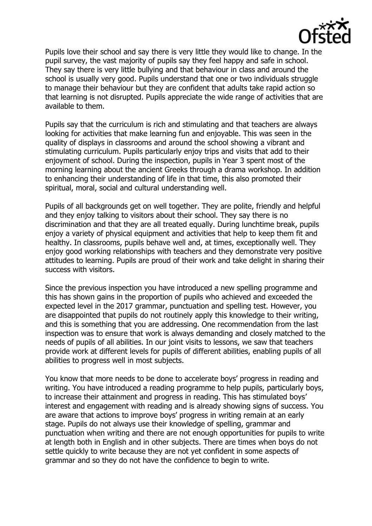

Pupils love their school and say there is very little they would like to change. In the pupil survey, the vast majority of pupils say they feel happy and safe in school. They say there is very little bullying and that behaviour in class and around the school is usually very good. Pupils understand that one or two individuals struggle to manage their behaviour but they are confident that adults take rapid action so that learning is not disrupted. Pupils appreciate the wide range of activities that are available to them.

Pupils say that the curriculum is rich and stimulating and that teachers are always looking for activities that make learning fun and enjoyable. This was seen in the quality of displays in classrooms and around the school showing a vibrant and stimulating curriculum. Pupils particularly enjoy trips and visits that add to their enjoyment of school. During the inspection, pupils in Year 3 spent most of the morning learning about the ancient Greeks through a drama workshop. In addition to enhancing their understanding of life in that time, this also promoted their spiritual, moral, social and cultural understanding well.

Pupils of all backgrounds get on well together. They are polite, friendly and helpful and they enjoy talking to visitors about their school. They say there is no discrimination and that they are all treated equally. During lunchtime break, pupils enjoy a variety of physical equipment and activities that help to keep them fit and healthy. In classrooms, pupils behave well and, at times, exceptionally well. They enjoy good working relationships with teachers and they demonstrate very positive attitudes to learning. Pupils are proud of their work and take delight in sharing their success with visitors.

Since the previous inspection you have introduced a new spelling programme and this has shown gains in the proportion of pupils who achieved and exceeded the expected level in the 2017 grammar, punctuation and spelling test. However, you are disappointed that pupils do not routinely apply this knowledge to their writing, and this is something that you are addressing. One recommendation from the last inspection was to ensure that work is always demanding and closely matched to the needs of pupils of all abilities. In our joint visits to lessons, we saw that teachers provide work at different levels for pupils of different abilities, enabling pupils of all abilities to progress well in most subjects.

You know that more needs to be done to accelerate boys' progress in reading and writing. You have introduced a reading programme to help pupils, particularly boys, to increase their attainment and progress in reading. This has stimulated boys' interest and engagement with reading and is already showing signs of success. You are aware that actions to improve boys' progress in writing remain at an early stage. Pupils do not always use their knowledge of spelling, grammar and punctuation when writing and there are not enough opportunities for pupils to write at length both in English and in other subjects. There are times when boys do not settle quickly to write because they are not yet confident in some aspects of grammar and so they do not have the confidence to begin to write.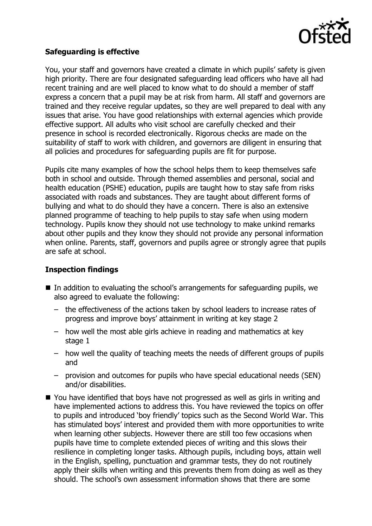

### **Safeguarding is effective**

You, your staff and governors have created a climate in which pupils' safety is given high priority. There are four designated safeguarding lead officers who have all had recent training and are well placed to know what to do should a member of staff express a concern that a pupil may be at risk from harm. All staff and governors are trained and they receive regular updates, so they are well prepared to deal with any issues that arise. You have good relationships with external agencies which provide effective support. All adults who visit school are carefully checked and their presence in school is recorded electronically. Rigorous checks are made on the suitability of staff to work with children, and governors are diligent in ensuring that all policies and procedures for safeguarding pupils are fit for purpose.

Pupils cite many examples of how the school helps them to keep themselves safe both in school and outside. Through themed assemblies and personal, social and health education (PSHE) education, pupils are taught how to stay safe from risks associated with roads and substances. They are taught about different forms of bullying and what to do should they have a concern. There is also an extensive planned programme of teaching to help pupils to stay safe when using modern technology. Pupils know they should not use technology to make unkind remarks about other pupils and they know they should not provide any personal information when online. Parents, staff, governors and pupils agree or strongly agree that pupils are safe at school.

#### **Inspection findings**

- $\blacksquare$  In addition to evaluating the school's arrangements for safeguarding pupils, we also agreed to evaluate the following:
	- the effectiveness of the actions taken by school leaders to increase rates of progress and improve boys' attainment in writing at key stage 2
	- how well the most able girls achieve in reading and mathematics at key stage 1
	- how well the quality of teaching meets the needs of different groups of pupils and
	- provision and outcomes for pupils who have special educational needs (SEN) and/or disabilities.
- You have identified that boys have not progressed as well as girls in writing and have implemented actions to address this. You have reviewed the topics on offer to pupils and introduced 'boy friendly' topics such as the Second World War. This has stimulated boys' interest and provided them with more opportunities to write when learning other subjects. However there are still too few occasions when pupils have time to complete extended pieces of writing and this slows their resilience in completing longer tasks. Although pupils, including boys, attain well in the English, spelling, punctuation and grammar tests, they do not routinely apply their skills when writing and this prevents them from doing as well as they should. The school's own assessment information shows that there are some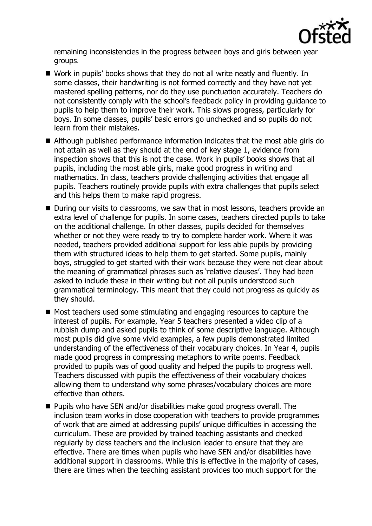

remaining inconsistencies in the progress between boys and girls between year groups.

- Work in pupils' books shows that they do not all write neatly and fluently. In some classes, their handwriting is not formed correctly and they have not yet mastered spelling patterns, nor do they use punctuation accurately. Teachers do not consistently comply with the school's feedback policy in providing guidance to pupils to help them to improve their work. This slows progress, particularly for boys. In some classes, pupils' basic errors go unchecked and so pupils do not learn from their mistakes.
- Although published performance information indicates that the most able girls do not attain as well as they should at the end of key stage 1, evidence from inspection shows that this is not the case. Work in pupils' books shows that all pupils, including the most able girls, make good progress in writing and mathematics. In class, teachers provide challenging activities that engage all pupils. Teachers routinely provide pupils with extra challenges that pupils select and this helps them to make rapid progress.
- During our visits to classrooms, we saw that in most lessons, teachers provide an extra level of challenge for pupils. In some cases, teachers directed pupils to take on the additional challenge. In other classes, pupils decided for themselves whether or not they were ready to try to complete harder work. Where it was needed, teachers provided additional support for less able pupils by providing them with structured ideas to help them to get started. Some pupils, mainly boys, struggled to get started with their work because they were not clear about the meaning of grammatical phrases such as 'relative clauses'. They had been asked to include these in their writing but not all pupils understood such grammatical terminology. This meant that they could not progress as quickly as they should.
- Most teachers used some stimulating and engaging resources to capture the interest of pupils. For example, Year 5 teachers presented a video clip of a rubbish dump and asked pupils to think of some descriptive language. Although most pupils did give some vivid examples, a few pupils demonstrated limited understanding of the effectiveness of their vocabulary choices. In Year 4, pupils made good progress in compressing metaphors to write poems. Feedback provided to pupils was of good quality and helped the pupils to progress well. Teachers discussed with pupils the effectiveness of their vocabulary choices allowing them to understand why some phrases/vocabulary choices are more effective than others.
- Pupils who have SEN and/or disabilities make good progress overall. The inclusion team works in close cooperation with teachers to provide programmes of work that are aimed at addressing pupils' unique difficulties in accessing the curriculum. These are provided by trained teaching assistants and checked regularly by class teachers and the inclusion leader to ensure that they are effective. There are times when pupils who have SEN and/or disabilities have additional support in classrooms. While this is effective in the majority of cases, there are times when the teaching assistant provides too much support for the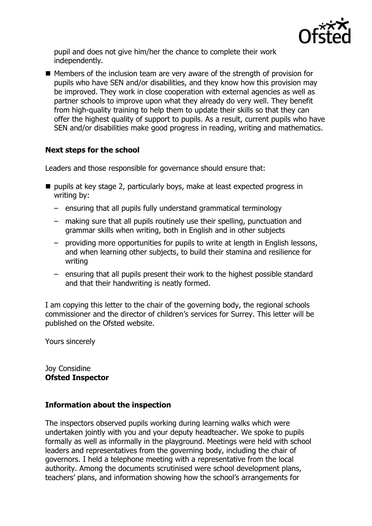

pupil and does not give him/her the chance to complete their work independently.

■ Members of the inclusion team are very aware of the strength of provision for pupils who have SEN and/or disabilities, and they know how this provision may be improved. They work in close cooperation with external agencies as well as partner schools to improve upon what they already do very well. They benefit from high-quality training to help them to update their skills so that they can offer the highest quality of support to pupils. As a result, current pupils who have SEN and/or disabilities make good progress in reading, writing and mathematics.

# **Next steps for the school**

Leaders and those responsible for governance should ensure that:

- pupils at key stage 2, particularly boys, make at least expected progress in writing by:
	- ensuring that all pupils fully understand grammatical terminology
	- making sure that all pupils routinely use their spelling, punctuation and grammar skills when writing, both in English and in other subjects
	- providing more opportunities for pupils to write at length in English lessons, and when learning other subjects, to build their stamina and resilience for writing
	- ensuring that all pupils present their work to the highest possible standard and that their handwriting is neatly formed.

I am copying this letter to the chair of the governing body, the regional schools commissioner and the director of children's services for Surrey. This letter will be published on the Ofsted website.

Yours sincerely

Joy Considine **Ofsted Inspector**

#### **Information about the inspection**

The inspectors observed pupils working during learning walks which were undertaken jointly with you and your deputy headteacher. We spoke to pupils formally as well as informally in the playground. Meetings were held with school leaders and representatives from the governing body, including the chair of governors. I held a telephone meeting with a representative from the local authority. Among the documents scrutinised were school development plans, teachers' plans, and information showing how the school's arrangements for